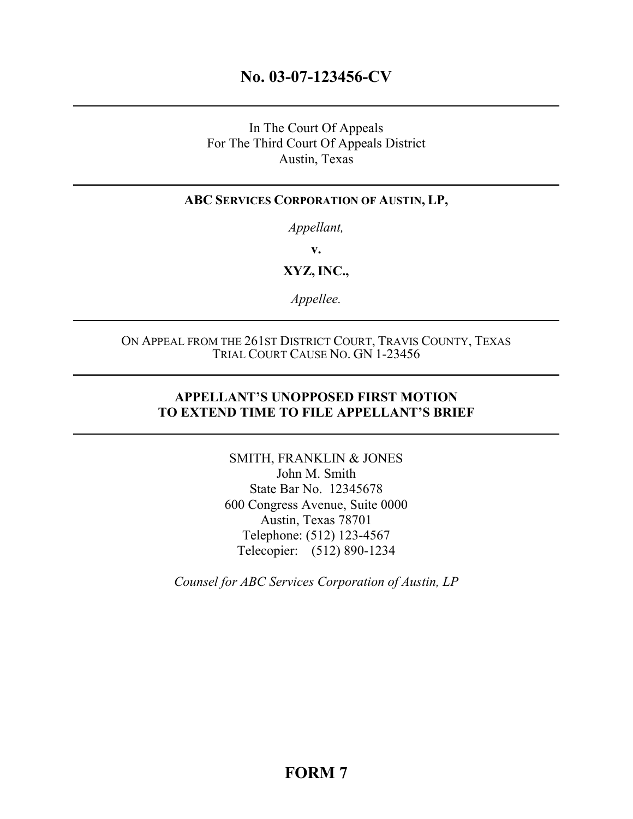# **No. 03-07-123456-CV**

## In The Court Of Appeals For The Third Court Of Appeals District Austin, Texas

### **ABC SERVICES CORPORATION OF AUSTIN, LP,**

*Appellant,* 

**v.** 

**XYZ, INC.,**

*Appellee.* 

### ON APPEAL FROM THE 261ST DISTRICT COURT, TRAVIS COUNTY, TEXAS TRIAL COURT CAUSE NO. GN 1-23456

## **APPELLANT'S UNOPPOSED FIRST MOTION TO EXTEND TIME TO FILE APPELLANT'S BRIEF**

SMITH, FRANKLIN & JONES John M. Smith State Bar No. 12345678 600 Congress Avenue, Suite 0000 Austin, Texas 78701 Telephone: (512) 123-4567 Telecopier: (512) 890-1234

*Counsel for ABC Services Corporation of Austin, LP*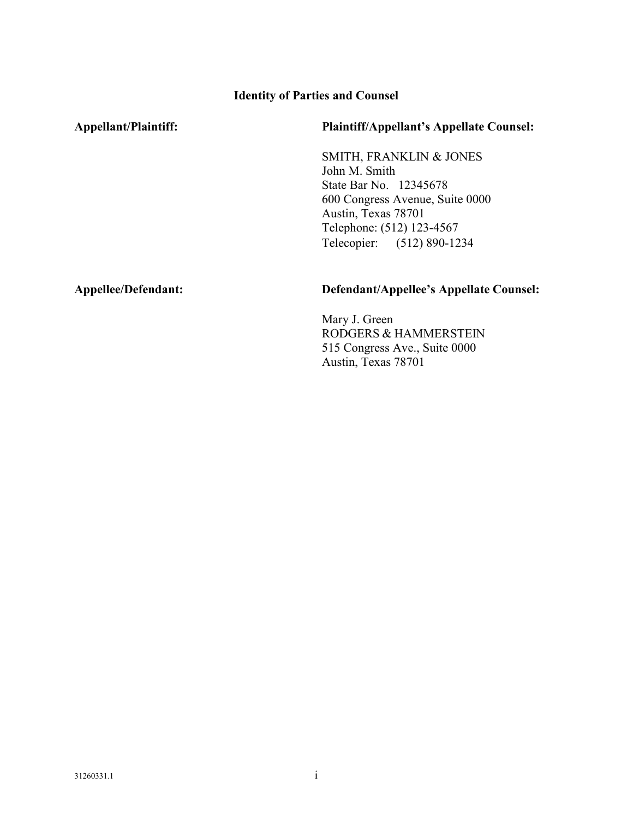### **Identity of Parties and Counsel**

### **Appellant/Plaintiff: Plaintiff/Appellant's Appellate Counsel:**

SMITH, FRANKLIN & JONES John M. Smith State Bar No. 12345678 600 Congress Avenue, Suite 0000 Austin, Texas 78701 Telephone: (512) 123-4567 Telecopier: (512) 890-1234

### **Appellee/Defendant: Defendant/Appellee's Appellate Counsel:**

Mary J. Green RODGERS & HAMMERSTEIN 515 Congress Ave., Suite 0000 Austin, Texas 78701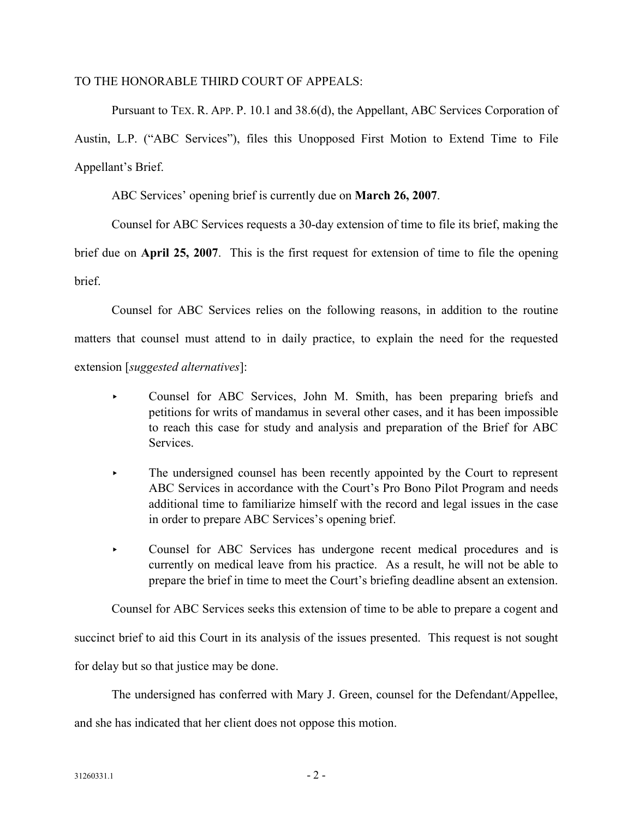### TO THE HONORABLE THIRD COURT OF APPEALS:

Pursuant to TEX. R. APP. P. 10.1 and 38.6(d), the Appellant, ABC Services Corporation of Austin, L.P. ("ABC Services"), files this Unopposed First Motion to Extend Time to File Appellant's Brief.

ABC Services' opening brief is currently due on **March 26, 2007**.

Counsel for ABC Services requests a 30-day extension of time to file its brief, making the

brief due on **April 25, 2007**. This is the first request for extension of time to file the opening **brief** 

Counsel for ABC Services relies on the following reasons, in addition to the routine matters that counsel must attend to in daily practice, to explain the need for the requested extension [*suggested alternatives*]:

- ▸ Counsel for ABC Services, John M. Smith, has been preparing briefs and petitions for writs of mandamus in several other cases, and it has been impossible to reach this case for study and analysis and preparation of the Brief for ABC **Services**
- ▸ The undersigned counsel has been recently appointed by the Court to represent ABC Services in accordance with the Court's Pro Bono Pilot Program and needs additional time to familiarize himself with the record and legal issues in the case in order to prepare ABC Services's opening brief.
- ▸ Counsel for ABC Services has undergone recent medical procedures and is currently on medical leave from his practice. As a result, he will not be able to prepare the brief in time to meet the Court's briefing deadline absent an extension.

Counsel for ABC Services seeks this extension of time to be able to prepare a cogent and

succinct brief to aid this Court in its analysis of the issues presented. This request is not sought

for delay but so that justice may be done.

The undersigned has conferred with Mary J. Green, counsel for the Defendant/Appellee,

and she has indicated that her client does not oppose this motion.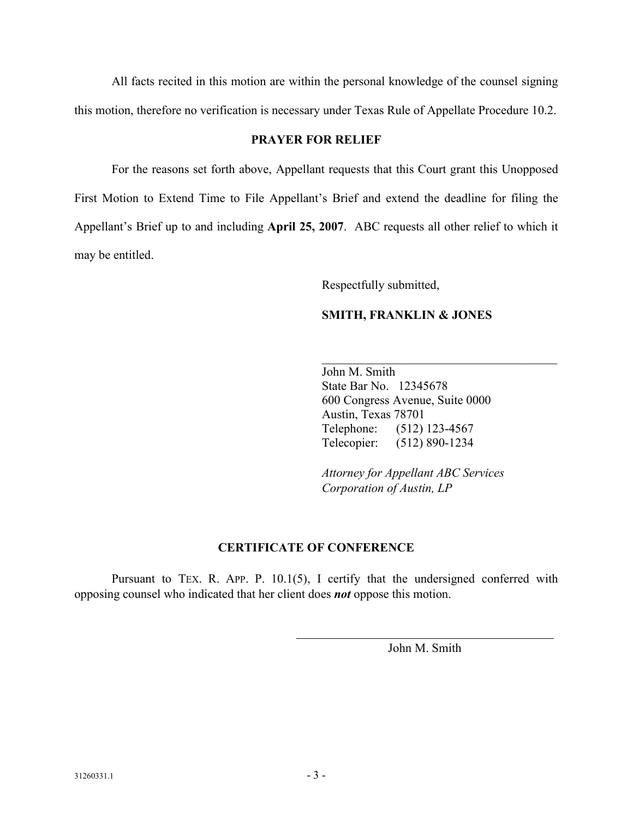All facts recited in this motion are within the personal knowledge of the counsel signing this motion, therefore no verification is necessary under Texas Rule of Appellate Procedure 10.2.

### **PRAYER FOR RELIEF**

For the reasons set forth above, Appellant requests that this Court grant this Unopposed First Motion to Extend Time to File Appellant's Brief and extend the deadline for filing the Appellant's Brief up to and including **April 25, 2007**. ABC requests all other relief to which it may be entitled.

Respectfully submitted,

## **SMITH, FRANKLIN & JONES**

John M. Smith State Bar No. 12345678 600 Congress Avenue, Suite 0000 Austin, Texas 78701 Telephone: (512) 123-4567 Telecopier: (512) 890-1234

 $\mathcal{L}_\text{max}$  and  $\mathcal{L}_\text{max}$  and  $\mathcal{L}_\text{max}$  and  $\mathcal{L}_\text{max}$ 

*Attorney for Appellant ABC Services Corporation of Austin, LP* 

## **CERTIFICATE OF CONFERENCE**

Pursuant to TEX. R. APP. P. 10.1(5), I certify that the undersigned conferred with opposing counsel who indicated that her client does *not* oppose this motion.

John M. Smith